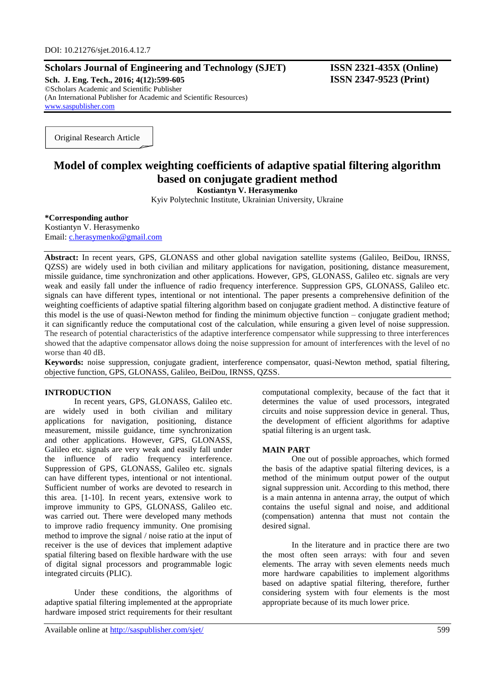## **Scholars Journal of Engineering and Technology (SJET) ISSN 2321-435X (Online)**

**Sch. J. Eng. Tech., 2016; 4(12):599-605 ISSN 2347-9523 (Print)** ©Scholars Academic and Scientific Publisher (An International Publisher for Academic and Scientific Resources) [www.saspublisher.com](http://www.saspublisher.com/)

Original Research Article

# **Model of complex weighting coefficients of adaptive spatial filtering algorithm based on conjugate gradient method**

**Kostiantyn V. Herasymenko**

Kyiv Polytechnic Institute, Ukrainian University, Ukraine

#### **\*Corresponding author**

Kostiantyn V. Herasymenko Email: [c.herasymenko@gmail.com](mailto:c.herasymenko@gmail.com)

**Abstract:** In recent years, GPS, GLONASS and other global navigation satellite systems (Galileo, BeiDou, IRNSS, QZSS) are widely used in both civilian and military applications for navigation, positioning, distance measurement, missile guidance, time synchronization and other applications. However, GPS, GLONASS, Galileo etc. signals are very weak and easily fall under the influence of radio frequency interference. Suppression GPS, GLONASS, Galileo etc. signals can have different types, intentional or not intentional. The paper presents a comprehensive definition of the weighting coefficients of adaptive spatial filtering algorithm based on conjugate gradient method. A distinctive feature of this model is the use of quasi-Newton method for finding the minimum objective function – conjugate gradient method; it can significantly reduce the computational cost of the calculation, while ensuring a given level of noise suppression. The research of potential characteristics of the adaptive interference compensator while suppressing to three interferences showed that the adaptive compensator allows doing the noise suppression for amount of interferences with the level of no worse than 40 dB.

**Keywords:** noise suppression, conjugate gradient, interference compensator, quasi-Newton method, spatial filtering, objective function, GPS, GLONASS, Galileo, BeiDou, IRNSS, QZSS.

### **INTRODUCTION**

In recent years, GPS, GLONASS, Galileo etc. are widely used in both civilian and military applications for navigation, positioning, distance measurement, missile guidance, time synchronization and other applications. However, GPS, GLONASS, Galileo etc. signals are very weak and easily fall under the influence of radio frequency interference. Suppression of GPS, GLONASS, Galileo etc. signals can have different types, intentional or not intentional. Sufficient number of works are devoted to research in this area. [1-10]. In recent years, extensive work to improve immunity to GPS, GLONASS, Galileo etc. was carried out. There were developed many methods to improve radio frequency immunity. One promising method to improve the signal / noise ratio at the input of receiver is the use of devices that implement adaptive spatial filtering based on flexible hardware with the use of digital signal processors and programmable logic integrated circuits (PLIC).

Under these conditions, the algorithms of adaptive spatial filtering implemented at the appropriate hardware imposed strict requirements for their resultant

Available online at<http://saspublisher.com/sjet/> 599

computational complexity, because of the fact that it determines the value of used processors, integrated circuits and noise suppression device in general. Thus, the development of efficient algorithms for adaptive spatial filtering is an urgent task.

#### **MAIN PART**

One out of possible approaches, which formed the basis of the adaptive spatial filtering devices, is a method of the minimum output power of the output signal suppression unit. According to this method, there is a main antenna in antenna array, the output of which contains the useful signal and noise, and additional (compensation) antenna that must not contain the desired signal.

In the literature and in practice there are two the most often seen arrays: with four and seven elements. The array with seven elements needs much more hardware capabilities to implement algorithms based on adaptive spatial filtering, therefore, further considering system with four elements is the most appropriate because of its much lower price.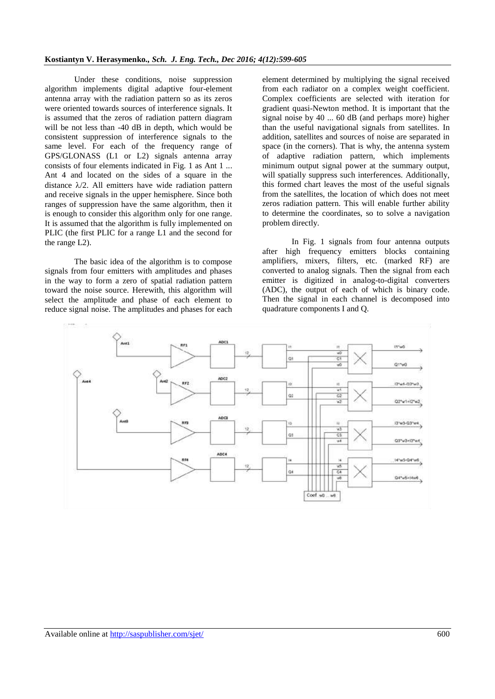Under these conditions, noise suppression algorithm implements digital adaptive four-element antenna array with the radiation pattern so as its zeros were oriented towards sources of interference signals. It is assumed that the zeros of radiation pattern diagram will be not less than -40 dB in depth, which would be consistent suppression of interference signals to the same level. For each of the frequency range of GPS/GLONASS (L1 or L2) signals antenna array consists of four elements indicated in Fig. 1 as Ant 1 ... Ant 4 and located on the sides of a square in the distance  $\lambda/2$ . All emitters have wide radiation pattern and receive signals in the upper hemisphere. Since both ranges of suppression have the same algorithm, then it is enough to consider this algorithm only for one range. It is assumed that the algorithm is fully implemented on PLIC (the first PLIC for a range L1 and the second for the range L2).

The basic idea of the algorithm is to compose signals from four emitters with amplitudes and phases in the way to form a zero of spatial radiation pattern toward the noise source. Herewith, this algorithm will select the amplitude and phase of each element to reduce signal noise. The amplitudes and phases for each

element determined by multiplying the signal received from each radiator on a complex weight coefficient. Complex coefficients are selected with iteration for gradient quasi-Newton method. It is important that the signal noise by 40 ... 60 dB (and perhaps more) higher than the useful navigational signals from satellites. In addition, satellites and sources of noise are separated in space (in the corners). That is why, the antenna system of adaptive radiation pattern, which implements minimum output signal power at the summary output, will spatially suppress such interferences. Additionally, this formed chart leaves the most of the useful signals from the satellites, the location of which does not meet zeros radiation pattern. This will enable further ability to determine the coordinates, so to solve a navigation problem directly.

In Fig. 1 signals from four antenna outputs after high frequency emitters blocks containing amplifiers, mixers, filters, etc. (marked RF) are converted to analog signals. Then the signal from each emitter is digitized in analog-to-digital converters (ADC), the output of each of which is binary code. Then the signal in each channel is decomposed into quadrature components I and Q.

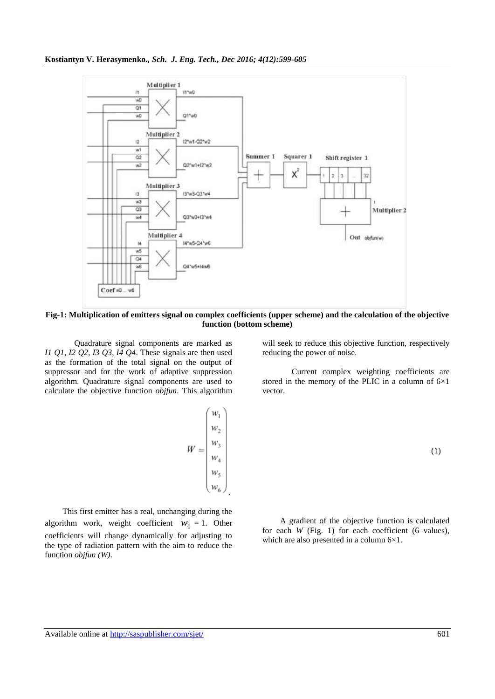

**Fig-1: Multiplication of emitters signal on complex coefficients (upper scheme) and the calculation of the objective function (bottom scheme)**

Quadrature signal components are marked as *I1 Q1, I2 Q2, I3 Q3, I4 Q4*. These signals are then used as the formation of the total signal on the output of suppressor and for the work of adaptive suppression algorithm. Quadrature signal components are used to calculate the objective function *objfun*. This algorithm

$$
W = \begin{pmatrix} w_1 \\ w_2 \\ w_3 \\ w_4 \\ w_5 \\ w_6 \end{pmatrix}
$$

.

This first emitter has a real, unchanging during the algorithm work, weight coefficient  $W_0 = 1$ . Other coefficients will change dynamically for adjusting to the type of radiation pattern with the aim to reduce the function *objfun (W)*.

will seek to reduce this objective function, respectively reducing the power of noise.

Current complex weighting coefficients are stored in the memory of the PLIC in a column of  $6\times1$ vector.

$$
(1)
$$

A gradient of the objective function is calculated for each *W* (Fig. 1) for each coefficient (6 values), which are also presented in a column 6×1.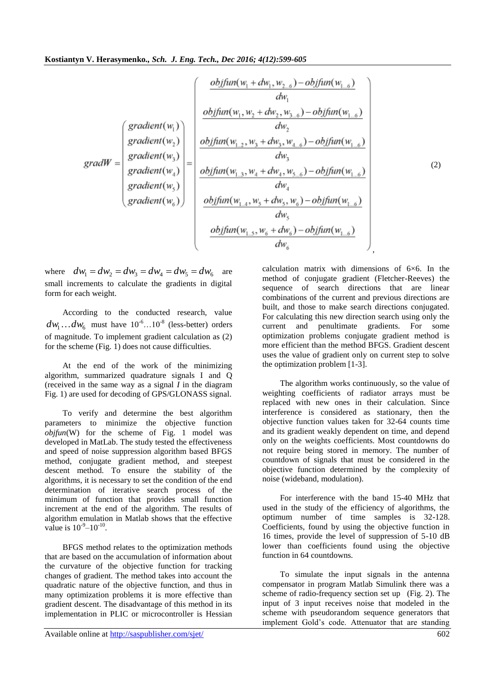$$
gradW = \begin{pmatrix} gradient(w_1) \\ gradient(w_1) \\ gradient(w_2) \\ gradient(w_3) \\ gradient(w_4) \\ gradient(w_5) \\ gradient(w_6) \end{pmatrix} = \begin{pmatrix} gradient(w_1) \\ object(w_1, w_2 + dw_2, w_{3\dots 6}) - objfun(w_{1\dots 6}) \\ object(w_1, w_2 + dw_2, w_{3\dots 6}) - objfun(w_{1\dots 6}) \\ dw_1 \\ d_{3} \\ gradient(w_4) \\ gradient(w_5) \\ gradient(w_6) \end{pmatrix}
$$

(2)

where  $dw_1 = dw_2 = dw_3 = dw_4 = dw_5 = dw_6$  are small increments to calculate the gradients in digital form for each weight.

According to the conducted research, value  $dw_1 \dots dw_6$  must have  $10^{-6} \dots 10^{-8}$  (less-better) orders of magnitude. To implement gradient calculation as (2) for the scheme (Fig. 1) does not cause difficulties.

At the end of the work of the minimizing algorithm, summarized quadrature signals I and Q (received in the same way as a signal *I* in the diagram Fig. 1) are used for decoding of GPS/GLONASS signal.

To verify and determine the best algorithm parameters to minimize the objective function *objfun*(W) for the scheme of Fig. 1 model was developed in MatLab. The study tested the effectiveness and speed of noise suppression algorithm based BFGS method, conjugate gradient method, and steepest descent method. To ensure the stability of the algorithms, it is necessary to set the condition of the end determination of iterative search process of the minimum of function that provides small function increment at the end of the algorithm. The results of algorithm emulation in Matlab shows that the effective value is  $10^{-9} - 10^{-10}$ .

BFGS method relates to the optimization methods that are based on the accumulation of information about the curvature of the objective function for tracking changes of gradient. The method takes into account the quadratic nature of the objective function, and thus in many optimization problems it is more effective than gradient descent. The disadvantage of this method in its implementation in PLIC or microcontroller is Hessian

calculation matrix with dimensions of 6×6. In the method of conjugate gradient (Fletcher-Reeves) the sequence of search directions that are linear combinations of the current and previous directions are built, and those to make search directions conjugated. For calculating this new direction search using only the current and penultimate gradients. For some optimization problems conjugate gradient method is more efficient than the method BFGS. Gradient descent uses the value of gradient only on current step to solve the optimization problem [1-3].

The algorithm works continuously, so the value of weighting coefficients of radiator arrays must be replaced with new ones in their calculation. Since interference is considered as stationary, then the objective function values taken for 32-64 counts time and its gradient weakly dependent on time, and depend only on the weights coefficients. Most countdowns do not require being stored in memory. The number of countdown of signals that must be considered in the objective function determined by the complexity of noise (wideband, modulation).

For interference with the band 15-40 MHz that used in the study of the efficiency of algorithms, the optimum number of time samples is 32-128. Coefficients, found by using the objective function in 16 times, provide the level of suppression of 5-10 dB lower than coefficients found using the objective function in 64 countdowns.

To simulate the input signals in the antenna compensator in program Matlab Simulink there was a scheme of radio-frequency section set up (Fig. 2). The input of 3 input receives noise that modeled in the scheme with pseudorandom sequence generators that implement Gold's code. Attenuator that are standing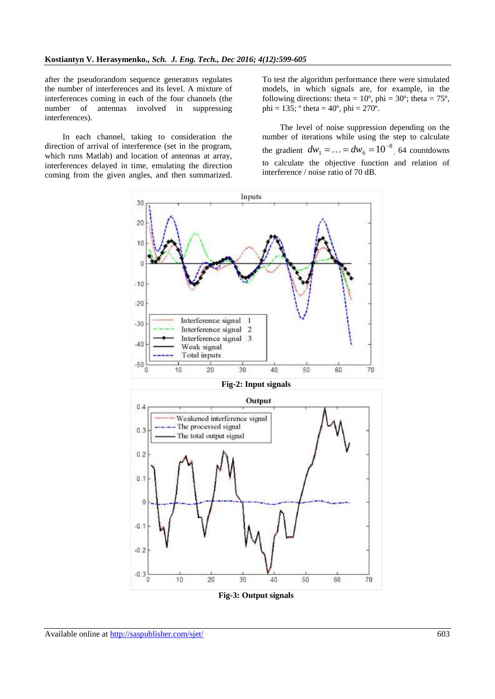after the pseudorandom sequence generators regulates the number of interferences and its level. A mixture of interferences coming in each of the four channels (the number of antennas involved in suppressing interferences).

In each channel, taking to consideration the direction of arrival of interference (set in the program, which runs Matlab) and location of antennas at array, interferences delayed in time, emulating the direction coming from the given angles, and then summarized. To test the algorithm performance there were simulated models, in which signals are, for example, in the following directions: theta =  $10^{\circ}$ , phi =  $30^{\circ}$ ; theta =  $75^{\circ}$ , phi =  $135$ ;  $\degree$  theta =  $40\degree$ , phi =  $270\degree$ .

The level of noise suppression depending on the number of iterations while using the step to calculate the gradient  $dw_1 = ... = dw_6 = 10^{-8}$  $dw_1 = \dots = dw_6 = 10^{-8}$ , 64 countdowns to calculate the objective function and relation of interference / noise ratio of 70 dB.



**Fig-3: Output signals**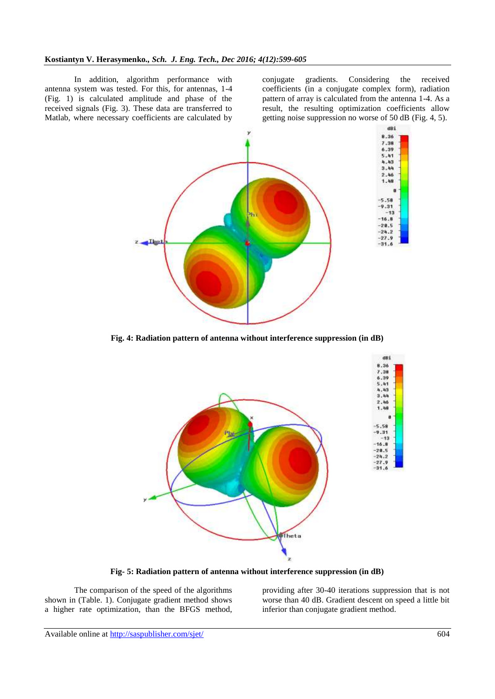In addition, algorithm performance with antenna system was tested. For this, for antennas, 1-4 (Fig. 1) is calculated amplitude and phase of the received signals (Fig. 3). These data are transferred to Matlab, where necessary coefficients are calculated by conjugate gradients. Considering the received coefficients (in a conjugate complex form), radiation pattern of array is calculated from the antenna 1-4. As a result, the resulting optimization coefficients allow getting noise suppression no worse of 50 dB (Fig. 4, 5).



**Fig. 4: Radiation pattern of antenna without interference suppression (in dB)**



**Fig- 5: Radiation pattern of antenna without interference suppression (in dB)**

The comparison of the speed of the algorithms shown in (Table. 1). Conjugate gradient method shows a higher rate optimization, than the BFGS method, providing after 30-40 iterations suppression that is not worse than 40 dB. Gradient descent on speed a little bit inferior than conjugate gradient method.